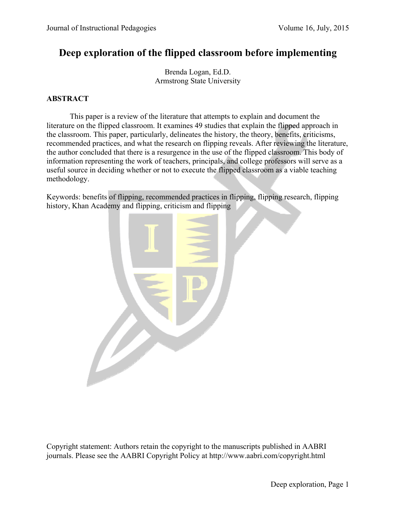# **Deep exploration of the flipped classroom before implementing**

Brenda Logan, Ed.D. Armstrong State University

### **ABSTRACT**

 This paper is a review of the literature that attempts to explain and document the literature on the flipped classroom. It examines 49 studies that explain the flipped approach in the classroom. This paper, particularly, delineates the history, the theory, benefits, criticisms, recommended practices, and what the research on flipping reveals. After reviewing the literature, the author concluded that there is a resurgence in the use of the flipped classroom. This body of information representing the work of teachers, principals, and college professors will serve as a useful source in deciding whether or not to execute the flipped classroom as a viable teaching methodology.

Keywords: benefits of flipping, recommended practices in flipping, flipping research, flipping history, Khan Academy and flipping, criticism and flipping



Copyright statement: Authors retain the copyright to the manuscripts published in AABRI journals. Please see the AABRI Copyright Policy at http://www.aabri.com/copyright.html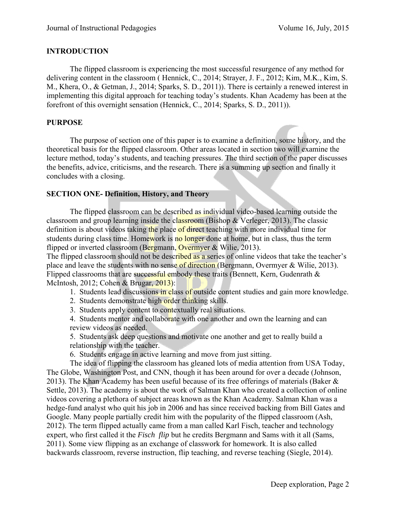#### **INTRODUCTION**

 The flipped classroom is experiencing the most successful resurgence of any method for delivering content in the classroom ( Hennick, C., 2014; Strayer, J. F., 2012; Kim, M.K., Kim, S. M., Khera, O., & Getman, J., 2014; Sparks, S. D., 2011)). There is certainly a renewed interest in implementing this digital approach for teaching today's students. Khan Academy has been at the forefront of this overnight sensation (Hennick, C., 2014; Sparks, S. D., 2011)).

#### **PURPOSE**

 The purpose of section one of this paper is to examine a definition, some history, and the theoretical basis for the flipped classroom. Other areas located in section two will examine the lecture method, today's students, and teaching pressures. The third section of the paper discusses the benefits, advice, criticisms, and the research. There is a summing up section and finally it concludes with a closing.

### **SECTION ONE- Definition, History, and Theory**

The flipped classroom can be described as individual video-based learning outside the classroom and group learning inside the classroom (Bishop & Verleger, 2013). The classic definition is about videos taking the place of direct teaching with more individual time for students during class time. Homework is no longer done at home, but in class, thus the term flipped or inverted classroom (Bergmann, Overmyer & Wilie, 2013).

The flipped classroom should not be described as a series of online videos that take the teacher's place and leave the students with no sense of direction (Bergmann, Overmyer & Wilie, 2013). Flipped classrooms that are successful embody these traits (Bennett, Kern, Gudenrath  $\&$ McIntosh, 2012; Cohen & Brugar, 2013):

- 1. Students lead discussions in class of outside content studies and gain more knowledge.
- 2. Students demonstrate high order thinking skills.
- 3. Students apply content to contextually real situations.

4. Students mentor and collaborate with one another and own the learning and can review videos as needed.

 5. Students ask deep questions and motivate one another and get to really build a relationship with the teacher.

6. Students engage in active learning and move from just sitting.

 The idea of flipping the classroom has gleaned lots of media attention from USA Today, The Globe, Washington Post, and CNN, though it has been around for over a decade (Johnson, 2013). The Khan Academy has been useful because of its free offerings of materials (Baker  $\&$ Settle, 2013). The academy is about the work of Salman Khan who created a collection of online videos covering a plethora of subject areas known as the Khan Academy. Salman Khan was a hedge-fund analyst who quit his job in 2006 and has since received backing from Bill Gates and Google. Many people partially credit him with the popularity of the flipped classroom (Ash, 2012). The term flipped actually came from a man called Karl Fisch, teacher and technology expert, who first called it the *Fisch flip* but he credits Bergmann and Sams with it all (Sams, 2011). Some view flipping as an exchange of classwork for homework. It is also called backwards classroom, reverse instruction, flip teaching, and reverse teaching (Siegle, 2014).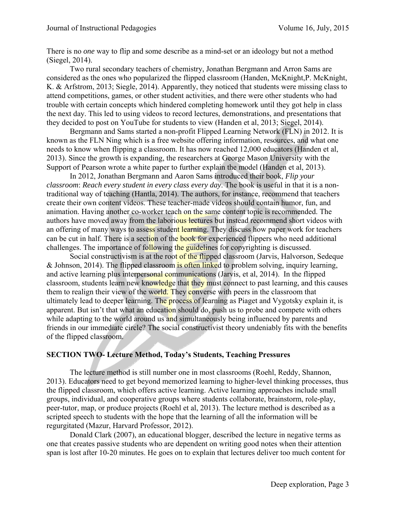There is no *one* way to flip and some describe as a mind-set or an ideology but not a method (Siegel, 2014).

 Two rural secondary teachers of chemistry, Jonathan Bergmann and Arron Sams are considered as the ones who popularized the flipped classroom (Handen, McKnight,P. McKnight, K. & Arfstrom, 2013; Siegle, 2014). Apparently, they noticed that students were missing class to attend competitions, games, or other student activities, and there were other students who had trouble with certain concepts which hindered completing homework until they got help in class the next day. This led to using videos to record lectures, demonstrations, and presentations that they decided to post on YouTube for students to view (Handen et al, 2013; Siegel, 2014).

 Bergmann and Sams started a non-profit Flipped Learning Network (FLN) in 2012. It is known as the FLN Ning which is a free website offering information, resources, and what one needs to know when flipping a classroom. It has now reached 12,000 educators (Handen et al, 2013). Since the growth is expanding, the researchers at George Mason University with the Support of Pearson wrote a white paper to further explain the model (Handen et al, 2013).

 In 2012, Jonathan Bergmann and Aaron Sams introduced their book, *Flip your classroom*: *Reach every student in every class every day*. The book is useful in that it is a nontraditional way of teaching (Hantla, 2014). The authors, for instance, recommend that teachers create their own content videos. These teacher-made videos should contain humor, fun, and animation. Having another co-worker teach on the same content topic is recommended. The authors have moved away from the laborious lectures but instead recommend short videos with an offering of many ways to assess student learning. They discuss how paper work for teachers can be cut in half. There is a section of the book for experienced flippers who need additional challenges. The importance of following the guidelines for copyrighting is discussed.

Social constructivism is at the root of the flipped classroom (Jarvis, Halvorson, Sedeque & Johnson, 2014). The flipped classroom is often linked to problem solving, inquiry learning, and active learning plus interpersonal communications (Jarvis, et al, 2014). In the flipped classroom, students learn new knowledge that they must connect to past learning, and this causes them to realign their view of the world. They converse with peers in the classroom that ultimately lead to deeper learning. The process of learning as Piaget and Vygotsky explain it, is apparent. But isn't that what an education should do, push us to probe and compete with others while adapting to the world around us and simultaneously being influenced by parents and friends in our immediate circle? The social constructivist theory undeniably fits with the benefits of the flipped classroom.

#### **SECTION TWO- Lecture Method, Today's Students, Teaching Pressures**

 The lecture method is still number one in most classrooms (Roehl, Reddy, Shannon, 2013). Educators need to get beyond memorized learning to higher-level thinking processes, thus the flipped classroom, which offers active learning. Active learning approaches include small groups, individual, and cooperative groups where students collaborate, brainstorm, role-play, peer-tutor, map, or produce projects (Roehl et al, 2013). The lecture method is described as a scripted speech to students with the hope that the learning of all the information will be regurgitated (Mazur, Harvard Professor, 2012).

 Donald Clark (2007), an educational blogger, described the lecture in negative terms as one that creates passive students who are dependent on writing good notes when their attention span is lost after 10-20 minutes. He goes on to explain that lectures deliver too much content for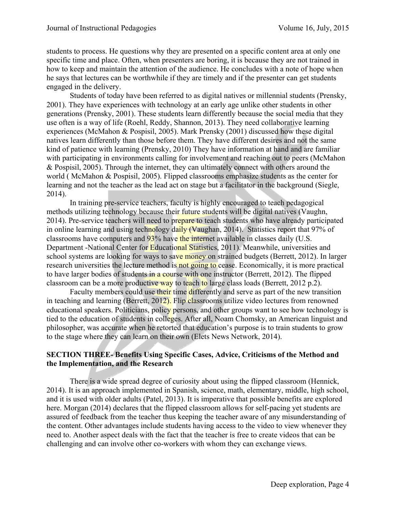students to process. He questions why they are presented on a specific content area at only one specific time and place. Often, when presenters are boring, it is because they are not trained in how to keep and maintain the attention of the audience. He concludes with a note of hope when he says that lectures can be worthwhile if they are timely and if the presenter can get students engaged in the delivery.

 Students of today have been referred to as digital natives or millennial students (Prensky, 2001). They have experiences with technology at an early age unlike other students in other generations (Prensky, 2001). These students learn differently because the social media that they use often is a way of life (Roehl, Reddy, Shannon, 2013). They need collaborative learning experiences (McMahon & Pospisil, 2005). Mark Prensky (2001) discussed how these digital natives learn differently than those before them. They have different desires and not the same kind of patience with learning (Prensky, 2010) They have information at hand and are familiar with participating in environments calling for involvement and reaching out to peers (McMahon & Pospisil, 2005). Through the internet, they can ultimately connect with others around the world ( McMahon & Pospisil, 2005). Flipped classrooms emphasize students as the center for learning and not the teacher as the lead act on stage but a facilitator in the background (Siegle, 2014).

In training pre-service teachers, faculty is highly encouraged to teach pedagogical methods utilizing technology because their future students will be digital natives (Vaughn, 2014). Pre-service teachers will need to prepare to teach students who have already participated in online learning and using technology daily (Vaughan, 2014). Statistics report that 97% of classrooms have computers and 93% have the internet available in classes daily (U.S. Department -National Center for Educational Statistics, 2011). Meanwhile, universities and school systems are looking for ways to save money on strained budgets (Berrett, 2012). In larger research universities the lecture method is not going to cease. Economically, it is more practical to have larger bodies of students in a course with one instructor (Berrett, 2012). The flipped classroom can be a more productive way to teach to large class loads (Berrett, 2012 p.2).

Faculty members could use their time differently and serve as part of the new transition in teaching and learning (Berrett, 2012). Flip classrooms utilize video lectures from renowned educational speakers. Politicians, policy persons, and other groups want to see how technology is tied to the education of students in colleges. After all, Noam Chomsky, an American linguist and philosopher, was accurate when he retorted that education's purpose is to train students to grow to the stage where they can learn on their own (Elets News Network, 2014).

#### **SECTION THREE- Benefits Using Specific Cases, Advice, Criticisms of the Method and the Implementation, and the Research**

 There is a wide spread degree of curiosity about using the flipped classroom (Hennick, 2014). It is an approach implemented in Spanish, science, math, elementary, middle, high school, and it is used with older adults (Patel, 2013). It is imperative that possible benefits are explored here. Morgan (2014) declares that the flipped classroom allows for self-pacing yet students are assured of feedback from the teacher thus keeping the teacher aware of any misunderstanding of the content. Other advantages include students having access to the video to view whenever they need to. Another aspect deals with the fact that the teacher is free to create videos that can be challenging and can involve other co-workers with whom they can exchange views.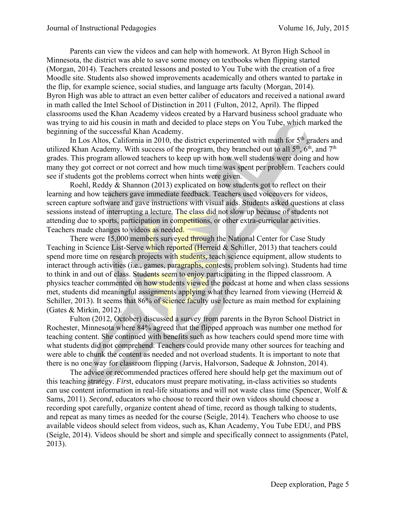Parents can view the videos and can help with homework. At Byron High School in Minnesota, the district was able to save some money on textbooks when flipping started (Morgan, 2014). Teachers created lessons and posted to You Tube with the creation of a free Moodle site. Students also showed improvements academically and others wanted to partake in the flip, for example science, social studies, and language arts faculty (Morgan, 2014). Byron High was able to attract an even better caliber of educators and received a national award in math called the Intel School of Distinction in 2011 (Fulton, 2012, April). The flipped classrooms used the Khan Academy videos created by a Harvard business school graduate who was trying to aid his cousin in math and decided to place steps on You Tube, which marked the beginning of the successful Khan Academy.

In Los Altos, California in 2010, the district experimented with math for  $5<sup>th</sup>$  graders and utilized Khan Academy. With success of the program, they branched out to all 5<sup>th</sup>, 6<sup>th</sup>, and 7<sup>th</sup> grades. This program allowed teachers to keep up with how well students were doing and how many they got correct or not correct and how much time was spent per problem. Teachers could see if students got the problems correct when hints were given.

 Roehl, Reddy & Shannon (2013) explicated on how students got to reflect on their learning and how teachers gave immediate feedback. Teachers used voiceovers for videos, screen capture software and gave instructions with visual aids. Students asked questions at class sessions instead of interrupting a lecture. The class did not slow up because of students not attending due to sports, participation in competitions, or other extra-curricular activities. Teachers made changes to videos as needed.

There were 15,000 members surveyed through the National Center for Case Study Teaching in Science List-Serve which reported (Herreid & Schiller, 2013) that teachers could spend more time on research projects with students, teach science equipment, allow students to interact through activities (i.e., games, paragraphs, contests, problem solving). Students had time to think in and out of class. Students seem to enjoy participating in the flipped classroom. A physics teacher commented on how students viewed the podcast at home and when class sessions met, students did meaningful assignments applying what they learned from viewing (Herreid  $\&$ Schiller, 2013). It seems that 86% of science faculty use lecture as main method for explaining (Gates & Mirkin, 2012).

Fulton (2012, October) discussed a survey from parents in the Byron School District in Rochester, Minnesota where 84% agreed that the flipped approach was number one method for teaching content. She continued with benefits such as how teachers could spend more time with what students did not comprehend. Teachers could provide many other sources for teaching and were able to chunk the content as needed and not overload students. It is important to note that there is no one way for classroom flipping (Jarvis, Halvorson, Sadeque & Johnston, 2014).

The advice or recommended practices offered here should help get the maximum out of this teaching strategy. *Firs*t, educators must prepare motivating, in-class activities so students can use content information in real-life situations and will not waste class time (Spencer, Wolf & Sams, 2011). *Second*, educators who choose to record their own videos should choose a recording spot carefully, organize content ahead of time, record as though talking to students, and repeat as many times as needed for the course (Seigle, 2014). Teachers who choose to use available videos should select from videos, such as, Khan Academy, You Tube EDU, and PBS (Seigle, 2014). Videos should be short and simple and specifically connect to assignments (Patel, 2013).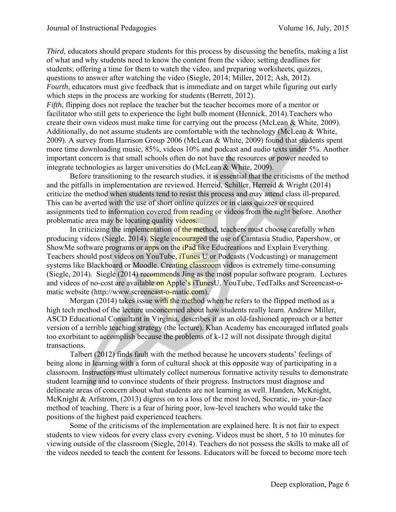*Third*, educators should prepare students for this process by discussing the benefits, making a list of what and why students need to know the content from the video; setting deadlines for students; offering a time for them to watch the video, and preparing worksheets, quizzes, questions to answer after watching the video (Siegle, 2014; Miller, 2012; Ash, 2012). *Fourth*, educators must give feedback that is immediate and on target while figuring out early which steps in the process are working for students (Berrett, 2012).

*Fifth*, flipping does not replace the teacher but the teacher becomes more of a mentor or facilitator who still gets to experience the light bulb moment (Hennick, 2014).Teachers who create their own videos must make time for carrying out the process (McLean & White, 2009). Additionally, do not assume students are comfortable with the technology (McLean & White, 2009). A survey from Harrison Group 2006 (McLean & White, 2009) found that students spent more time downloading music, 85%, videos 10% and podcast and audio texts under 5%. Another important concern is that small schools often do not have the resources or power needed to integrate technologies as larger universities do (McLean & White, 2009).

 Before transitioning to the research studies, it is essential that the criticisms of the method and the pitfalls in implementation are reviewed. Herreid, Schiller, Herreid & Wright (2014) criticize the method when students tend to resist this process and may attend class ill-prepared. This can be averted with the use of short online quizzes or in class quizzes or required assignments tied to information covered from reading or videos from the night before. Another problematic area may be locating quality videos.

In criticizing the implementation of the method, teachers must choose carefully when producing videos (Siegle, 2014). Siegle encouraged the use of Camtasia Studio, Papershow, or ShowMe software programs or apps on the iPad like Educreations and Explain Everything. Teachers should post videos on YouTube, iTunes U or Podcasts (Vodcasting) or management systems like Blackboard or Moodle. Creating classroom videos is extremely time-consuming (Siegle, 2014). Siegle (2014) recommends Jing as the most popular software program. Lectures and videos of no-cost are available on Apple's iTunesU, YouTube, TedTalks and Screencast-omatic website (http://www.screencast-o-matic.com).

Morgan (2014) takes issue with the method when he refers to the flipped method as a high tech method of the lecture unconcerned about how students really learn. Andrew Miller, ASCD Educational Consultant in Virginia, describes it as an old-fashioned approach or a better version of a terrible teaching strategy (the lecture). Khan Academy has encouraged inflated goals too exorbitant to accomplish because the problems of k-12 will not dissipate through digital transactions.

 Talbert (2012) finds fault with the method because he uncovers students' feelings of being alone in learning with a form of cultural shock at this opposite way of participating in a classroom. Instructors must ultimately collect numerous formative activity results to demonstrate student learning and to convince students of their progress. Instructors must diagnose and delineate areas of concern about what students are not learning as well. Handen, McKnight, McKnight & Arfstrom, (2013) digress on to a loss of the most loved, Socratic, in-your-face method of teaching. There is a fear of hiring poor, low-level teachers who would take the positions of the highest paid experienced teachers.

 Some of the criticisms of the implementation are explained here. It is not fair to expect students to view videos for every class every evening. Videos must be short, 5 to 10 minutes for viewing outside of the classroom (Siegle, 2014). Teachers do not possess the skills to make all of the videos needed to teach the content for lessons. Educators will be forced to become more tech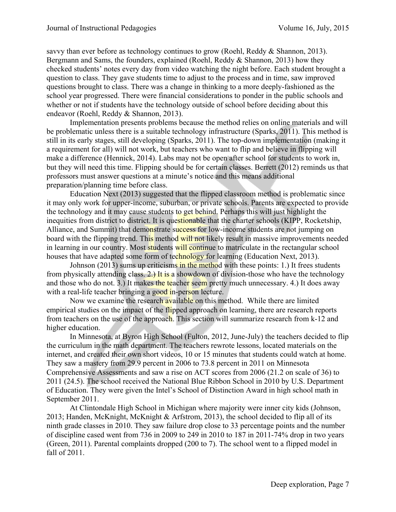savvy than ever before as technology continues to grow (Roehl, Reddy & Shannon, 2013). Bergmann and Sams, the founders, explained (Roehl, Reddy & Shannon, 2013) how they checked students' notes every day from video watching the night before. Each student brought a question to class. They gave students time to adjust to the process and in time, saw improved questions brought to class. There was a change in thinking to a more deeply-fashioned as the school year progressed. There were financial considerations to ponder in the public schools and whether or not if students have the technology outside of school before deciding about this endeavor (Roehl, Reddy & Shannon, 2013).

 Implementation presents problems because the method relies on online materials and will be problematic unless there is a suitable technology infrastructure (Sparks, 2011). This method is still in its early stages, still developing (Sparks, 2011). The top-down implementation (making it a requirement for all) will not work, but teachers who want to flip and believe in flipping will make a difference (Hennick, 2014). Labs may not be open after school for students to work in, but they will need this time. Flipping should be for certain classes. Berrett (2012) reminds us that professors must answer questions at a minute's notice and this means additional preparation/planning time before class.

 Education Next (2013) suggested that the flipped classroom method is problematic since it may only work for upper-income, suburban, or private schools. Parents are expected to provide the technology and it may cause students to get behind. Perhaps this will just highlight the inequities from district to district. It is questionable that the charter schools (KIPP, Rocketship, Alliance, and Summit) that demonstrate success for low-income students are not jumping on board with the flipping trend. This method will not likely result in massive improvements needed in learning in our country. Most students will continue to matriculate in the rectangular school houses that have adapted some form of technology for learning (Education Next, 2013).

Johnson (2013) sums up criticisms in the method with these points: 1.) It frees students from physically attending class. 2.) It is a showdown of division-those who have the technology and those who do not. 3.) It makes the teacher seem pretty much unnecessary. 4.) It does away with a real-life teacher bringing a good in-person lecture.

Now we examine the research available on this method. While there are limited empirical studies on the impact of the flipped approach on learning, there are research reports from teachers on the use of the approach. This section will summarize research from k-12 and higher education.

 In Minnesota, at Byron High School (Fulton, 2012, June-July) the teachers decided to flip the curriculum in the math department. The teachers rewrote lessons, located materials on the internet, and created their own short videos, 10 or 15 minutes that students could watch at home. They saw a mastery from 29.9 percent in 2006 to 73.8 percent in 2011 on Minnesota Comprehensive Assessments and saw a rise on ACT scores from 2006 (21.2 on scale of 36) to 2011 (24.5). The school received the National Blue Ribbon School in 2010 by U.S. Department of Education. They were given the Intel's School of Distinction Award in high school math in September 2011.

 At Clintondale High School in Michigan where majority were inner city kids (Johnson, 2013; Handen, McKnight, McKnight & Arfstrom, 2013), the school decided to flip all of its ninth grade classes in 2010. They saw failure drop close to 33 percentage points and the number of discipline cased went from 736 in 2009 to 249 in 2010 to 187 in 2011-74% drop in two years (Green, 2011). Parental complaints dropped (200 to 7). The school went to a flipped model in fall of 2011.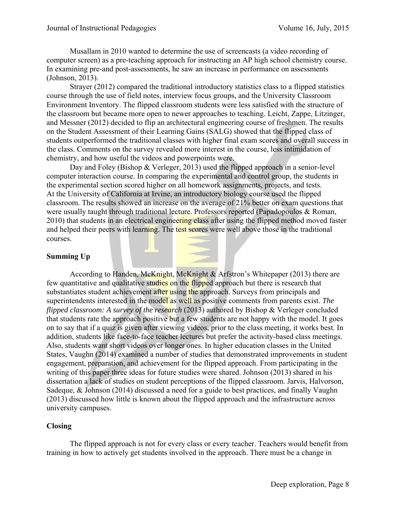Musallam in 2010 wanted to determine the use of screencasts (a video recording of computer screen) as a pre-teaching approach for instructing an AP high school chemistry course. In examining pre-and post-assessments, he saw an increase in performance on assessments (Johnson, 2013).

 Strayer (2012) compared the traditional introductory statistics class to a flipped statistics course through the use of field notes, interview focus groups, and the University Classroom Environment Inventory. The flipped classroom students were less satisfied with the structure of the classroom but became more open to newer approaches to teaching. Leicht, Zappe, Litzinger, and Messner (2012) decided to flip an architectural engineering course of freshmen. The results on the Student Assessment of their Learning Gains (SALG) showed that the flipped class of students outperformed the traditional classes with higher final exam scores and overall success in the class. Comments on the survey revealed more interest in the course, less intimidation of chemistry, and how useful the videos and powerpoints were.

Day and Foley (Bishop & Verleger, 2013) used the flipped approach in a senior-level computer interaction course. In comparing the experimental and control group, the students in the experimental section scored higher on all homework assignments, projects, and tests. At the University of California at Irvine, an introductory biology course used the flipped classroom. The results showed an increase on the average of 21% better on exam questions that were usually taught through traditional lecture. Professors reported (Papadopoulos & Roman, 2010) that students in an electrical engineering class after using the flipped method moved faster and helped their peers with learning. The test scores were well above those in the traditional courses.

#### **Summing Up**

According to Handen, McKnight, McKnight & Arfstron's Whitepaper (2013) there are few quantitative and qualitative studies on the flipped approach but there is research that substantiates student achievement after using the approach. Surveys from principals and superintendents interested in the model as well as positive comments from parents exist. *The flipped classroom: A survey of the research* (2013) authored by Bishop & Verleger concluded that students rate the approach positive but a few students are not happy with the model. It goes on to say that if a quiz is given after viewing videos, prior to the class meeting, it works best. In addition, students like face-to-face teacher lectures but prefer the activity-based class meetings. Also, students want short videos over longer ones. In higher education classes in the United States, Vaughn (2014) examined a number of studies that demonstrated improvements in student engagement, preparation, and achievement for the flipped approach. From participating in the writing of this paper three ideas for future studies were shared. Johnson (2013) shared in his dissertation a lack of studies on student perceptions of the flipped classroom. Jarvis, Halvorson, Sadeque, & Johnson (2014) discussed a need for a guide to best practices, and finally Vaughn (2013) discussed how little is known about the flipped approach and the infrastructure across university campuses.

#### **Closing**

 The flipped approach is not for every class or every teacher. Teachers would benefit from training in how to actively get students involved in the approach. There must be a change in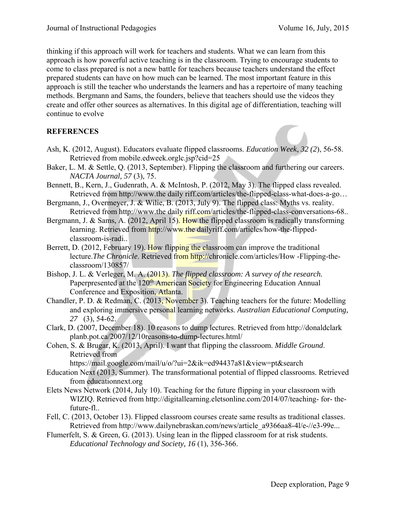thinking if this approach will work for teachers and students. What we can learn from this approach is how powerful active teaching is in the classroom. Trying to encourage students to come to class prepared is not a new battle for teachers because teachers understand the effect prepared students can have on how much can be learned. The most important feature in this approach is still the teacher who understands the learners and has a repertoire of many teaching methods. Bergmann and Sams, the founders, believe that teachers should use the videos they create and offer other sources as alternatives. In this digital age of differentiation, teaching will continue to evolve

## **REFERENCES**

- Ash, K. (2012, August). Educators evaluate flipped classrooms. *Education Week, 32 (2*), 56-58. Retrieved from mobile.edweek.orglc.jsp?cid=25
- Baker, L. M. & Settle, Q. (2013, September). Flipping the classroom and furthering our careers. *NACTA Journal, 57* (3), 75.
- Bennett, B., Kern, J., Gudenrath, A. & McIntosh, P. (2012, May 3). The flipped class revealed. Retrieved from http://www.the daily riff.com/articles/the-flipped-class-what-does-a-go…
- Bergmann, J., Overmeyer, J. & Wilie, B. (2013, July 9). The flipped class: Myths vs. reality. Retrieved from http://www.the daily riff.com/articles/the-flipped-class-conversations-68..
- Bergmann, J. & Sams, A. (2012, April 15). How the flipped classroom is radically transforming learning. Retrieved from http://www.the dailyriff.com/articles/how-the-flippedclassroom-is-radi..
- Berrett, D. (2012, February 19). How flipping the classroom can improve the traditional lecture.*The Chronicle*. Retrieved from http://chronicle.com/articles/How -Flipping-theclassroom/130857/
- Bishop, J. L. & Verleger, M. A. (2013). *The flipped classroom: A survey of the research.* Paperpresented at the 120<sup>th</sup> American Society for Engineering Education Annual Conference and Exposition, Atlanta.
- Chandler, P. D. & Redman, C. (2013, November 3). Teaching teachers for the future: Modelling and exploring immersive personal learning networks. *Australian Educational Computing, 27* (3), 54-62.
- Clark, D. (2007, December 18). 10 reasons to dump lectures. Retrieved from http://donaldclark planb.pot.ca/2007/12/10reasons-to-dump-lectures.html/
- Cohen, S. & Brugar, K. (2013, April). I want that flipping the classroom. *Middle Ground*. Retrieved from

https://mail.google.com/mail/u/o/?ui=2&ik=ed94437a81&view=pt&search

- Education Next (2013, Summer). The transformational potential of flipped classrooms. Retrieved from educationnext.org
- Elets News Network (2014, July 10). Teaching for the future flipping in your classroom with WIZIQ. Retrieved from http://digitallearning.eletsonline.com/2014/07/teaching- for- thefuture-fl..
- Fell, C. (2013, October 13). Flipped classroom courses create same results as traditional classes. Retrieved from http://www.dailynebraskan.com/news/article\_a9366aa8-4l/e-//e3-99e...
- Flumerfelt, S. & Green, G. (2013). Using lean in the flipped classroom for at risk students. *Educational Technology and Society, 16* (1), 356-366.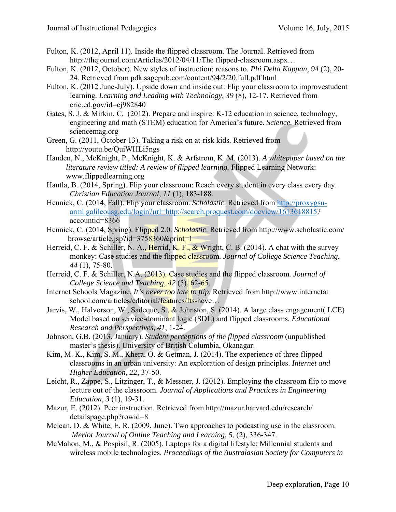- Fulton, K. (2012, April 11). Inside the flipped classroom. The Journal. Retrieved from http://thejournal.com/Articles/2012/04/11/The flipped-classroom.aspx…
- Fulton, K. (2012, October). New styles of instruction: reasons to. *Phi Delta Kappan, 94* (2), 20- 24. Retrieved from pdk.sagepub.com/content/94/2/20.full.pdf html
- Fulton, K. (2012 June-July). Upside down and inside out: Flip your classroom to improvestudent learning*. Learning and Leading with Technology, 39* (8), 12-17. Retrieved from eric.ed.gov/id=ej982840
- Gates, S. J. & Mirkin, C. (2012). Prepare and inspire: K-12 education in science, technology, engineering and math (STEM) education for America's future. *Science.* Retrieved from sciencemag.org
- Green, G. (2011, October 13). Taking a risk on at-risk kids. Retrieved from http://youtu.be/QuiWHLi5ngs
- Handen, N., McKnight, P., McKnight, K. & Arfstrom, K. M. (2013). *A whitepaper based on the literature review titled: A review of flipped learning.* Flipped Learning Network: www.flippedlearning.org
- Hantla, B. (2014, Spring). Flip your classroom: Reach every student in every class every day. *Christian Education Journal, 11* (1), 183-188.
- Hennick, C. (2014, Fall). Flip your classroom. *Scholastic*. Retrieved from http://proxygsuarml.galileousg.edu/login?url=http://search.proquest.com/docview/1613618815? accountid=8366
- Hennick, C. (2014, Spring). Flipped 2.0. *Scholastic*. Retrieved from http://www.scholastic.com/ browse/article.jsp?id=3758360&print=1
- Herreid, C. F. & Schiller, N. A., Herrid, K. F., & Wright, C. B. (2014). A chat with the survey monkey: Case studies and the flipped classroom*. Journal of College Science Teaching*, *44* (1), 75-80.
- Herreid, C. F. & Schiller, N.A. (2013). Case studies and the flipped classroom*. Journal of College Science and Teaching, 42* (5), 62-65.
- Internet Schools Magazine*. It's never too late to flip.* Retrieved from http://www.internetat school.com/articles/editorial/features/Its-neve...
- Jarvis, W., Halvorson, W., Sadeque, S.,  $\&$  Johnston, S. (2014). A large class engagement( LCE) Model based on service-dominant logic (SDL) and flipped classrooms*. Educational Research and Perspectives, 41*, 1-24.
- Johnson, G.B. (2013, January). *Student perceptions of the flipped classroom* (unpublished master's thesis). University of British Columbia, Okanagar.
- Kim, M. K., Kim, S. M., Khera, O. & Getman, J. (2014). The experience of three flipped classrooms in an urban university: An exploration of design principles. *Internet and Higher Education, 22*, 37-50.
- Leicht, R., Zappe, S., Litzinger, T., & Messner, J. (2012). Employing the classroom flip to move lecture out of the classroom. *Journal of Applications and Practices in Engineering Education*, *3* (1), 19-31.
- Mazur, E. (2012). Peer instruction. Retrieved from http://mazur.harvard.edu/research/ detailspage.php?rowid=8
- Mclean, D. & White, E. R. (2009, June). Two approaches to podcasting use in the classroom.  *Merlot Journal of Online Teaching and Learning, 5*, (2), 336-347.
- McMahon, M., & Pospisil, R. (2005). Laptops for a digital lifestyle: Millennial students and wireless mobile technologies. *Proceedings of the Australasian Society for Computers in*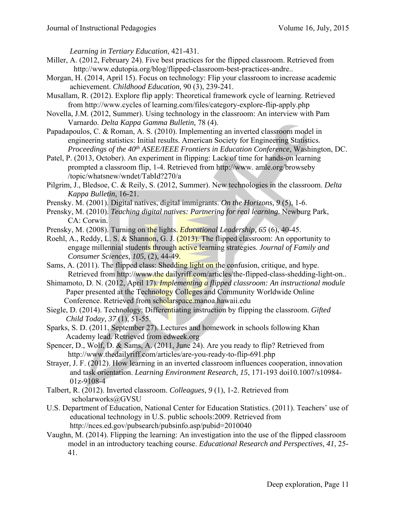*Learning in Tertiary Education*, 421-431.

- Miller, A. (2012, February 24). Five best practices for the flipped classroom. Retrieved from http://www.edutopia.org/blog/flipped-classroom-best-practices-andre..
- Morgan, H. (2014, April 15). Focus on technology: Flip your classroom to increase academic achievement. *Childhood Education,* 90 (3), 239-241.
- Musallam, R. (2012). Explore flip apply: Theoretical framework cycle of learning. Retrieved from http://www.cycles of learning.com/files/category-explore-flip-apply.php
- Novella, J.M. (2012, Summer). Using technology in the classroom: An interview with Pam Varnardo. *Delta Kappa Gamma Bulletin,* 78 (4).
- Papadapoulos, C. & Roman, A. S. (2010). Implementing an inverted classroom model in engineering statistics: Initial results. American Society for Engineering Statistics*. Proceedings of the 40<sup>th</sup> ASEE/IEEE Frontiers in Education Conference*, Washington, DC.
- Patel, P. (2013, October). An experiment in flipping: Lack of time for hands-on learning prompted a classroom flip, 1-4. Retrieved from http://www. amle.org/browseby /topic/whatsnew/wndet/TabId?270/a
- Pilgrim, J., Bledsoe, C. & Reily, S. (2012, Summer). New technologies in the classroom. *Delta Kappa Bulletin*, 16-21.
- Prensky. M. (2001). Digital natives, digital immigrants. *On the Horizons, 9* (5), 1-6.
- Prensky, M. (2010). *Teaching digital natives: Partnering for real learning*. Newburg Park, CA: Corwin.
- Prensky, M. (2008). Turning on the lights. *Educational Leadership, 65* (6), 40-45.
- Roehl, A., Reddy, L. S. & Shannon, G. J. (2013). The flipped classroom: An opportunity to engage millennial students through active learning strategies. *Journal of Family and Consumer Sciences, 105,* (2), 44-49.
- Sams, A. (2011). The flipped class: Shedding light on the confusion, critique, and hype. Retrieved from http://www.the dailyriff.com/articles/the-flipped-class-shedding-light-on..
- Shimamoto, D. N. (2012, April 17). *Implementing a flipped classroom: An instructional module*  Paper presented at the Technology Colleges and Community Worldwide Online Conference. Retrieved from scholarspace.manoa.hawaii.edu
- Siegle, D. (2014). Technology: Differentiating instruction by flipping the classroom. *Gifted Child Today, 37* (1), 51-55.
- Sparks, S. D. (2011, September 27). Lectures and homework in schools following Khan Academy lead. Retrieved from edweek.org
- Spencer, D., Wolf, D. & Sams, A. (2011, June 24). Are you ready to flip? Retrieved from http://www.thedailyriff.com/articles/are-you-ready-to-flip-691.php
- Strayer, J. F. (2012). How learning in an inverted classroom influences cooperation, innovation and task orientation. *Learning Environment Research, 15*, 171-193 doi10.1007/s10984- 01z-9108-4
- Talbert, R. (2012). Inverted classroom. *Colleagues, 9* (1), 1-2. Retrieved from scholarworks@GVSU
- U.S. Department of Education, National Center for Education Statistics. (2011). Teachers' use of educational technology in U.S. public schools:2009. Retrieved from http://nces.ed.gov/pubsearch/pubsinfo.asp/pubid=2010040
- Vaughn, M. (2014). Flipping the learning: An investigation into the use of the flipped classroom model in an introductory teaching course. *Educational Research and Perspectives, 41*, 25- 41.